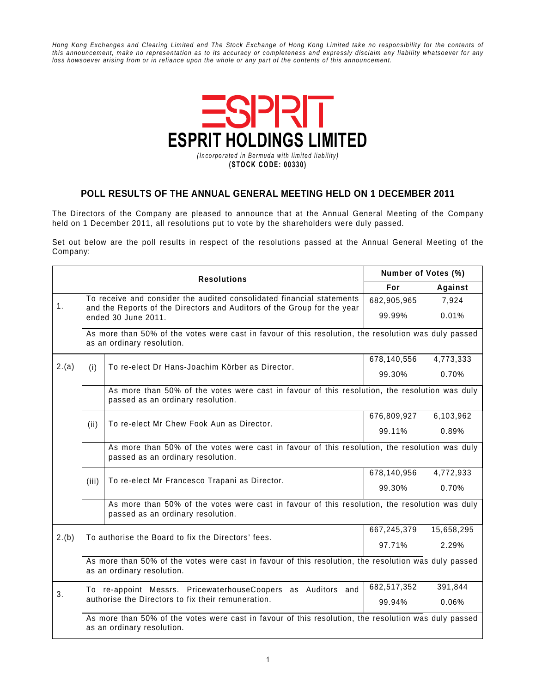Hong Kong Exchanges and Clearing Limited and The Stock Exchange of Hong Kong Limited take no responsibility for the contents of this announcement, make no representation as to its accuracy or completeness and expressly disclaim any liability whatsoever for any loss howsoever arising from or in reliance upon the whole or any part of the contents of this announcement.



## **POLL RESULTS OF THE ANNUAL GENERAL MEETING HELD ON 1 DECEMBER 2011**

The Directors of the Company are pleased to announce that at the Annual General Meeting of the Company held on 1 December 2011, all resolutions put to vote by the shareholders were duly passed.

Set out below are the poll results in respect of the resolutions passed at the Annual General Meeting of the Company:

|       | <b>Resolutions</b>                                                                                                                                                      | Number of Votes (%)                                                                                                                |             |            |  |  |
|-------|-------------------------------------------------------------------------------------------------------------------------------------------------------------------------|------------------------------------------------------------------------------------------------------------------------------------|-------------|------------|--|--|
|       |                                                                                                                                                                         |                                                                                                                                    | For         | Against    |  |  |
| 1.    | To receive and consider the audited consolidated financial statements<br>and the Reports of the Directors and Auditors of the Group for the year<br>ended 30 June 2011. |                                                                                                                                    | 682,905,965 | 7,924      |  |  |
|       |                                                                                                                                                                         |                                                                                                                                    | 99.99%      | 0.01%      |  |  |
|       |                                                                                                                                                                         | As more than 50% of the votes were cast in favour of this resolution, the resolution was duly passed<br>as an ordinary resolution. |             |            |  |  |
| 2.(a) | (i)                                                                                                                                                                     | To re-elect Dr Hans-Joachim Körber as Director.                                                                                    | 678,140,556 | 4,773,333  |  |  |
|       |                                                                                                                                                                         |                                                                                                                                    | 99.30%      | 0.70%      |  |  |
|       |                                                                                                                                                                         | As more than 50% of the votes were cast in favour of this resolution, the resolution was duly                                      |             |            |  |  |
|       | (ii)                                                                                                                                                                    | To re-elect Mr Chew Fook Aun as Director.                                                                                          | 676,809,927 | 6,103,962  |  |  |
|       |                                                                                                                                                                         |                                                                                                                                    | 99.11%      | 0.89%      |  |  |
|       | As more than 50% of the votes were cast in favour of this resolution, the resolution was duly<br>passed as an ordinary resolution.                                      |                                                                                                                                    |             |            |  |  |
|       |                                                                                                                                                                         |                                                                                                                                    | 678,140,956 | 4,772,933  |  |  |
|       | (iii)                                                                                                                                                                   | To re-elect Mr Francesco Trapani as Director.                                                                                      | 99.30%      | 0.70%      |  |  |
|       |                                                                                                                                                                         | As more than 50% of the votes were cast in favour of this resolution, the resolution was duly<br>passed as an ordinary resolution. |             |            |  |  |
|       | To authorise the Board to fix the Directors' fees.                                                                                                                      |                                                                                                                                    | 667,245,379 | 15,658,295 |  |  |
| 2.(b) |                                                                                                                                                                         |                                                                                                                                    | 97.71%      | 2.29%      |  |  |
|       | As more than 50% of the votes were cast in favour of this resolution, the resolution was duly passed<br>as an ordinary resolution.                                      |                                                                                                                                    |             |            |  |  |
| 3.    |                                                                                                                                                                         | To re-appoint Messrs. PricewaterhouseCoopers as Auditors and                                                                       | 682,517,352 | 391,844    |  |  |
|       |                                                                                                                                                                         | authorise the Directors to fix their remuneration.                                                                                 | 99.94%      | 0.06%      |  |  |
|       | As more than 50% of the votes were cast in favour of this resolution, the resolution was duly passed<br>as an ordinary resolution.                                      |                                                                                                                                    |             |            |  |  |